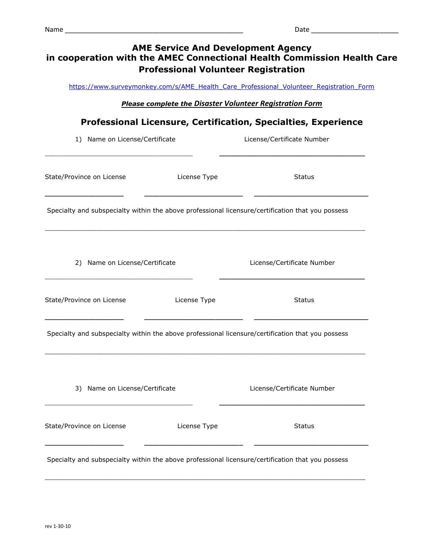| <b>AME Service And Development Agency</b><br>in cooperation with the AMEC Connectional Health Commission Health Care<br><b>Professional Volunteer Registration</b>                                                                  |              |                                                                                                   |  |  |  |  |  |  |  |
|-------------------------------------------------------------------------------------------------------------------------------------------------------------------------------------------------------------------------------------|--------------|---------------------------------------------------------------------------------------------------|--|--|--|--|--|--|--|
| https://www.surveymonkey.com/s/AME Health Care Professional Volunteer Registration Form<br><b>Please complete the Disaster Volunteer Registration Form</b><br><b>Professional Licensure, Certification, Specialties, Experience</b> |              |                                                                                                   |  |  |  |  |  |  |  |
| 1) Name on License/Certificate                                                                                                                                                                                                      |              | License/Certificate Number                                                                        |  |  |  |  |  |  |  |
| State/Province on License                                                                                                                                                                                                           | License Type | <b>Status</b>                                                                                     |  |  |  |  |  |  |  |
|                                                                                                                                                                                                                                     |              | Specialty and subspecialty within the above professional licensure/certification that you possess |  |  |  |  |  |  |  |
| 2) Name on License/Certificate                                                                                                                                                                                                      |              | License/Certificate Number                                                                        |  |  |  |  |  |  |  |
| State/Province on License                                                                                                                                                                                                           | License Type | <b>Status</b>                                                                                     |  |  |  |  |  |  |  |
|                                                                                                                                                                                                                                     |              | Specialty and subspecialty within the above professional licensure/certification that you possess |  |  |  |  |  |  |  |
| 3) Name on License/Certificate                                                                                                                                                                                                      |              | License/Certificate Number                                                                        |  |  |  |  |  |  |  |
| State/Province on License                                                                                                                                                                                                           | License Type | <b>Status</b>                                                                                     |  |  |  |  |  |  |  |
|                                                                                                                                                                                                                                     |              | Specialty and subspecialty within the above professional licensure/certification that you possess |  |  |  |  |  |  |  |

\_\_\_\_\_\_\_\_\_\_\_\_\_\_\_\_\_\_\_\_\_\_\_\_\_\_\_\_\_\_\_\_\_\_\_\_\_\_\_\_\_\_\_\_\_\_\_\_\_\_\_\_\_\_\_\_\_\_\_\_\_\_\_\_\_\_\_\_\_\_\_\_\_\_\_\_\_\_\_\_\_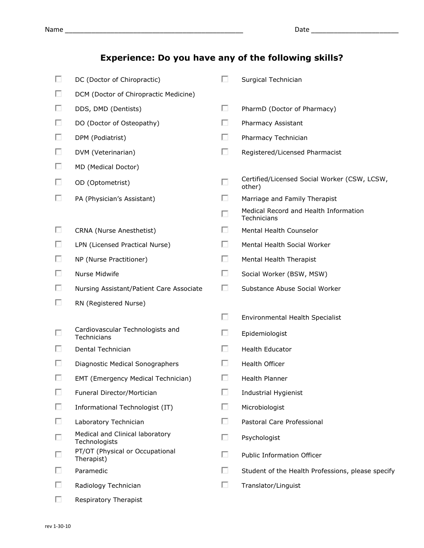## **Experience: Do you have any of the following skills?**

| П  | DC (Doctor of Chiropractic)                      | П | Surgical Technician                                    |
|----|--------------------------------------------------|---|--------------------------------------------------------|
| O. | DCM (Doctor of Chiropractic Medicine)            |   |                                                        |
| п  | DDS, DMD (Dentists)                              | П | PharmD (Doctor of Pharmacy)                            |
| п  | DO (Doctor of Osteopathy)                        | п | Pharmacy Assistant                                     |
| П. | DPM (Podiatrist)                                 | П | Pharmacy Technician                                    |
| O. | DVM (Veterinarian)                               | п | Registered/Licensed Pharmacist                         |
| D. | MD (Medical Doctor)                              |   |                                                        |
| п  | OD (Optometrist)                                 | п | Certified/Licensed Social Worker (CSW, LCSW,<br>other) |
| П. | PA (Physician's Assistant)                       | п | Marriage and Family Therapist                          |
|    |                                                  | П | Medical Record and Health Information<br>Technicians   |
| П. | CRNA (Nurse Anesthetist)                         | п | Mental Health Counselor                                |
| П. | LPN (Licensed Practical Nurse)                   | п | Mental Health Social Worker                            |
| O. | NP (Nurse Practitioner)                          | п | Mental Health Therapist                                |
| П. | Nurse Midwife                                    | п | Social Worker (BSW, MSW)                               |
| П. | Nursing Assistant/Patient Care Associate         | п | Substance Abuse Social Worker                          |
| П. | RN (Registered Nurse)                            |   |                                                        |
|    |                                                  | П | Environmental Health Specialist                        |
| П  | Cardiovascular Technologists and<br>Technicians  | П | Epidemiologist                                         |
| o  | Dental Technician                                | п | Health Educator                                        |
| ш  | Diagnostic Medical Sonographers                  | П | Health Officer                                         |
| п  | EMT (Emergency Medical Technician)               | п | Health Planner                                         |
| п  | Funeral Director/Mortician                       | П | Industrial Hygienist                                   |
| П. | Informational Technologist (IT)                  | п | Microbiologist                                         |
| П  | Laboratory Technician                            | п | Pastoral Care Professional                             |
| П  | Medical and Clinical laboratory<br>Technologists | п | Psychologist                                           |
| П  | PT/OT (Physical or Occupational<br>Therapist)    | п | <b>Public Information Officer</b>                      |
| D. | Paramedic                                        | п | Student of the Health Professions, please specify      |
| П. | Radiology Technician                             | п | Translator/Linguist                                    |
| П  | Respiratory Therapist                            |   |                                                        |